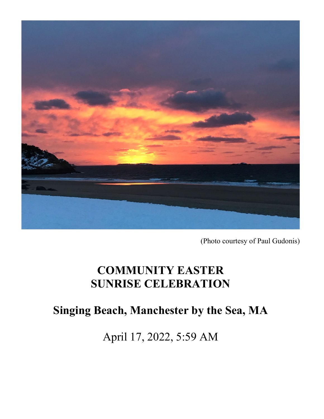

(Photo courtesy of Paul Gudonis)

# **COMMUNITY EASTER SUNRISE CELEBRATION**

# **Singing Beach, Manchester by the Sea, MA**

April 17, 2022, 5:59 AM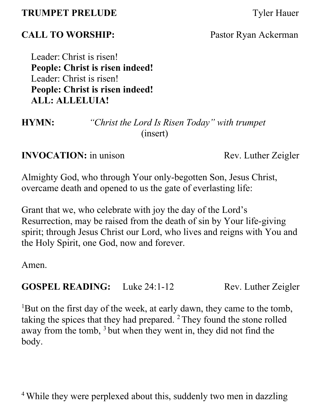### **TRUMPET PRELUDE** Tyler Hauer

## **CALL TO WORSHIP:** Pastor Ryan Ackerman

Leader: Christ is risen! **People: Christ is risen indeed!** Leader: Christ is risen! **People: Christ is risen indeed! ALL: ALLELUIA!**

**HYMN:** *"Christ the Lord Is Risen Today" with trumpet* (insert)

**INVOCATION:** in unison *Rev. Luther Zeigler* 

Almighty God, who through Your only-begotten Son, Jesus Christ, overcame death and opened to us the gate of everlasting life:

Grant that we, who celebrate with joy the day of the Lord's Resurrection, may be raised from the death of sin by Your life-giving spirit; through Jesus Christ our Lord, who lives and reigns with You and the Holy Spirit, one God, now and forever.

Amen.

**GOSPEL READING:** Luke 24:1-12 Rev. Luther Zeigler

1 But on the first day of the week, at early dawn, they came to the tomb, taking the spices that they had prepared.  $2$  They found the stone rolled away from the tomb,  $3$  but when they went in, they did not find the body.

<sup>4</sup> While they were perplexed about this, suddenly two men in dazzling